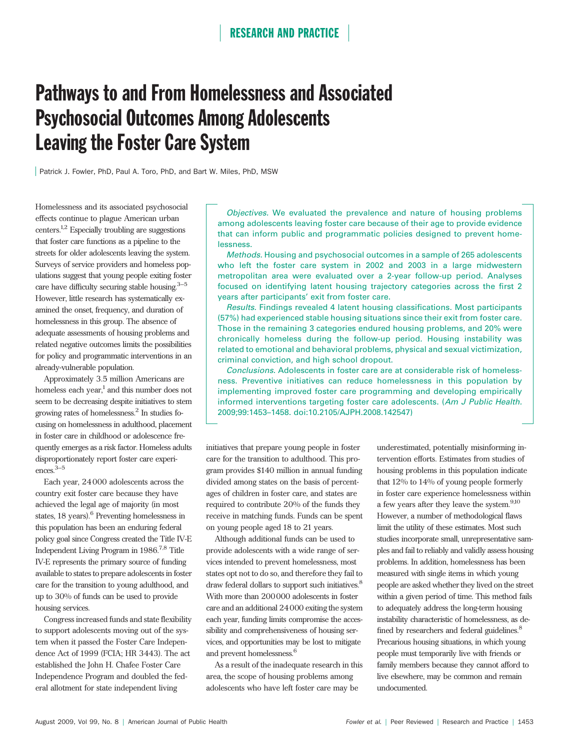# Pathways to and From Homelessness and Associated Psychosocial Outcomes Among Adolescents Leaving the Foster Care System

Patrick J. Fowler, PhD, Paul A. Toro, PhD, and Bart W. Miles, PhD, MSW

Homelessness and its associated psychosocial effects continue to plague American urban centers.1,2 Especially troubling are suggestions that foster care functions as a pipeline to the streets for older adolescents leaving the system. Surveys of service providers and homeless populations suggest that young people exiting foster care have difficulty securing stable housing. $3-5$ However, little research has systematically examined the onset, frequency, and duration of homelessness in this group. The absence of adequate assessments of housing problems and related negative outcomes limits the possibilities for policy and programmatic interventions in an already-vulnerable population.

Approximately 3.5 million Americans are homeless each year, $<sup>1</sup>$  and this number does not</sup> seem to be decreasing despite initiatives to stem growing rates of homelessness.2 In studies focusing on homelessness in adulthood, placement in foster care in childhood or adolescence frequently emerges as a risk factor. Homeless adults disproportionately report foster care experiences. $3-5$ 

Each year, 24 000 adolescents across the country exit foster care because they have achieved the legal age of majority (in most states, 18 years).<sup>6</sup> Preventing homelessness in this population has been an enduring federal policy goal since Congress created the Title IV-E Independent Living Program in 1986.7,8 Title IV-E represents the primary source of funding available to states to prepare adolescents in foster care for the transition to young adulthood, and up to 30% of funds can be used to provide housing services.

Congress increased funds and state flexibility to support adolescents moving out of the system when it passed the Foster Care Independence Act of 1999 (FCIA; HR 3443). The act established the John H. Chafee Foster Care Independence Program and doubled the federal allotment for state independent living

Objectives. We evaluated the prevalence and nature of housing problems among adolescents leaving foster care because of their age to provide evidence that can inform public and programmatic policies designed to prevent homelessness.

Methods. Housing and psychosocial outcomes in a sample of 265 adolescents who left the foster care system in 2002 and 2003 in a large midwestern metropolitan area were evaluated over a 2-year follow-up period. Analyses focused on identifying latent housing trajectory categories across the first 2 years after participants' exit from foster care.

Results. Findings revealed 4 latent housing classifications. Most participants (57%) had experienced stable housing situations since their exit from foster care. Those in the remaining 3 categories endured housing problems, and 20% were chronically homeless during the follow-up period. Housing instability was related to emotional and behavioral problems, physical and sexual victimization, criminal conviction, and high school dropout.

Conclusions. Adolescents in foster care are at considerable risk of homelessness. Preventive initiatives can reduce homelessness in this population by implementing improved foster care programming and developing empirically informed interventions targeting foster care adolescents. (Am J Public Health. 2009;99:1453–1458. doi:10.2105/AJPH.2008.142547)

initiatives that prepare young people in foster care for the transition to adulthood. This program provides \$140 million in annual funding divided among states on the basis of percentages of children in foster care, and states are required to contribute 20% of the funds they receive in matching funds. Funds can be spent on young people aged 18 to 21 years.

Although additional funds can be used to provide adolescents with a wide range of services intended to prevent homelessness, most states opt not to do so, and therefore they fail to draw federal dollars to support such initiatives.<sup>8</sup> With more than 200000 adolescents in foster care and an additional 24000 exiting the system each year, funding limits compromise the accessibility and comprehensiveness of housing services, and opportunities may be lost to mitigate and prevent homelessness.<sup>6</sup>

As a result of the inadequate research in this area, the scope of housing problems among adolescents who have left foster care may be

underestimated, potentially misinforming intervention efforts. Estimates from studies of housing problems in this population indicate that 12% to 14% of young people formerly in foster care experience homelessness within a few years after they leave the system.<sup>9,10</sup> However, a number of methodological flaws limit the utility of these estimates. Most such studies incorporate small, unrepresentative samples and fail to reliably and validly assess housing problems. In addition, homelessness has been measured with single items in which young people are asked whether they lived on the street within a given period of time. This method fails to adequately address the long-term housing instability characteristic of homelessness, as defined by researchers and federal guidelines.<sup>8</sup> Precarious housing situations, in which young people must temporarily live with friends or family members because they cannot afford to live elsewhere, may be common and remain undocumented.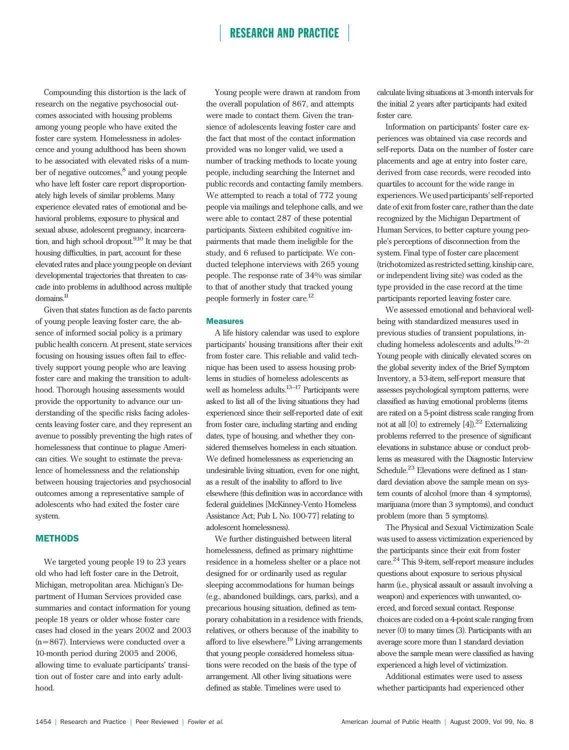Compounding this distortion is the lack of research on the negative psychosocial outcomes associated with housing problems among young people who have exited the foster care system. Homelessness in adolescence and young adulthood has been shown to be associated with elevated risks of a number of negative outcomes,<sup>8</sup> and young people who have left foster care report disproportionately high levels of similar problems. Many experience elevated rates of emotional and behavioral problems, exposure to physical and sexual abuse, adolescent pregnancy, incarceration, and high school dropout. $9,10$  It may be that housing difficulties, in part, account for these elevated rates and place young people on deviant developmental trajectories that threaten to cascade into problems in adulthood across multiple domains.11

Given that states function as de facto parents of young people leaving foster care, the absence of informed social policy is a primary public health concern. At present, state services focusing on housing issues often fail to effectively support young people who are leaving foster care and making the transition to adulthood. Thorough housing assessments would provide the opportunity to advance our understanding of the specific risks facing adolescents leaving foster care, and they represent an avenue to possibly preventing the high rates of homelessness that continue to plague American cities. We sought to estimate the prevalence of homelessness and the relationship between housing trajectories and psychosocial outcomes among a representative sample of adolescents who had exited the foster care system.

### **METHODS**

We targeted young people 19 to 23 years old who had left foster care in the Detroit, Michigan, metropolitan area. Michigan's Department of Human Services provided case summaries and contact information for young people 18 years or older whose foster care cases had closed in the years 2002 and 2003 (n=867). Interviews were conducted over a 10-month period during 2005 and 2006, allowing time to evaluate participants' transition out of foster care and into early adulthood.

Young people were drawn at random from the overall population of 867, and attempts were made to contact them. Given the transience of adolescents leaving foster care and the fact that most of the contact information provided was no longer valid, we used a number of tracking methods to locate young people, including searching the Internet and public records and contacting family members. We attempted to reach a total of 772 young people via mailings and telephone calls, and we were able to contact 287 of these potential participants. Sixteen exhibited cognitive impairments that made them ineligible for the study, and 6 refused to participate. We conducted telephone interviews with 265 young people. The response rate of 34% was similar to that of another study that tracked young people formerly in foster care.12

### **Measures**

A life history calendar was used to explore participants' housing transitions after their exit from foster care. This reliable and valid technique has been used to assess housing problems in studies of homeless adolescents as well as homeless adults.<sup>13–17</sup> Participants were asked to list all of the living situations they had experienced since their self-reported date of exit from foster care, including starting and ending dates, type of housing, and whether they considered themselves homeless in each situation. We defined homelessness as experiencing an undesirable living situation, even for one night, as a result of the inability to afford to live elsewhere (this definition was in accordance with federal guidelines [McKinney-Vento Homeless Assistance Act; Pub L No. 100-77] relating to adolescent homelessness).

We further distinguished between literal homelessness, defined as primary nighttime residence in a homeless shelter or a place not designed for or ordinarily used as regular sleeping accommodations for human beings (e.g., abandoned buildings, cars, parks), and a precarious housing situation, defined as temporary cohabitation in a residence with friends, relatives, or others because of the inability to afford to live elsewhere.<sup>19</sup> Living arrangements that young people considered homeless situations were recoded on the basis of the type of arrangement. All other living situations were defined as stable. Timelines were used to

calculate living situations at 3-month intervals for the initial 2 years after participants had exited foster care.

Information on participants' foster care experiences was obtained via case records and self-reports. Data on the number of foster care placements and age at entry into foster care, derived from case records, were recoded into quartiles to account for the wide range in experiences.We used participants' self-reported date of exit from foster care, rather than the date recognized by the Michigan Department of Human Services, to better capture young people's perceptions of disconnection from the system. Final type of foster care placement (trichotomized as restricted setting, kinship care, or independent living site) was coded as the type provided in the case record at the time participants reported leaving foster care.

We assessed emotional and behavioral wellbeing with standardized measures used in previous studies of transient populations, including homeless adolescents and adults.19–21 Young people with clinically elevated scores on the global severity index of the Brief Symptom Inventory, a 53-item, self-report measure that assesses psychological symptom patterns, were classified as having emotional problems (items are rated on a 5-point distress scale ranging from not at all [0] to extremely  $[4]$ ).<sup>22</sup> Externalizing problems referred to the presence of significant elevations in substance abuse or conduct problems as measured with the Diagnostic Interview Schedule.<sup>23</sup> Elevations were defined as 1 standard deviation above the sample mean on system counts of alcohol (more than 4 symptoms), marijuana (more than 3 symptoms), and conduct problem (more than 5 symptoms).

The Physical and Sexual Victimization Scale was used to assess victimization experienced by the participants since their exit from foster care.<sup>24</sup> This 9-item, self-report measure includes questions about exposure to serious physical harm (i.e., physical assault or assault involving a weapon) and experiences with unwanted, coerced, and forced sexual contact. Response choices are coded on a 4-point scale ranging from never (0) to many times (3). Participants with an average score more than 1 standard deviation above the sample mean were classified as having experienced a high level of victimization.

Additional estimates were used to assess whether participants had experienced other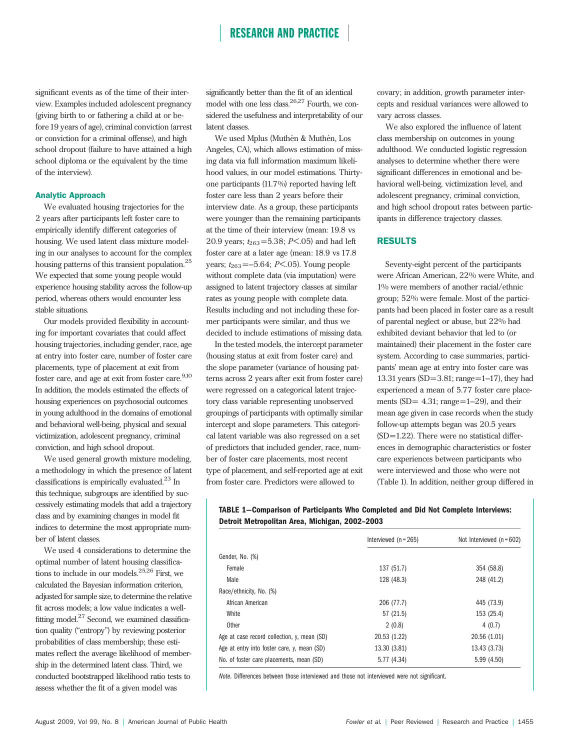significant events as of the time of their interview. Examples included adolescent pregnancy (giving birth to or fathering a child at or before 19 years of age), criminal conviction (arrest or conviction for a criminal offense), and high school dropout (failure to have attained a high school diploma or the equivalent by the time of the interview).

### Analytic Approach

We evaluated housing trajectories for the 2 years after participants left foster care to empirically identify different categories of housing. We used latent class mixture modeling in our analyses to account for the complex housing patterns of this transient population.<sup>25</sup> We expected that some young people would experience housing stability across the follow-up period, whereas others would encounter less stable situations.

Our models provided flexibility in accounting for important covariates that could affect housing trajectories, including gender, race, age at entry into foster care, number of foster care placements, type of placement at exit from foster care, and age at exit from foster care. $9,10$ In addition, the models estimated the effects of housing experiences on psychosocial outcomes in young adulthood in the domains of emotional and behavioral well-being, physical and sexual victimization, adolescent pregnancy, criminal conviction, and high school dropout.

We used general growth mixture modeling, a methodology in which the presence of latent classifications is empirically evaluated.<sup>23</sup> In this technique, subgroups are identified by successively estimating models that add a trajectory class and by examining changes in model fit indices to determine the most appropriate number of latent classes.

We used 4 considerations to determine the optimal number of latent housing classifications to include in our models.25,26 First, we calculated the Bayesian information criterion, adjusted for sample size, to determine the relative fit across models; a low value indicates a wellfitting model.<sup>27</sup> Second, we examined classification quality (''entropy'') by reviewing posterior probabilities of class membership; these estimates reflect the average likelihood of membership in the determined latent class. Third, we conducted bootstrapped likelihood ratio tests to assess whether the fit of a given model was

significantly better than the fit of an identical model with one less class.26,27 Fourth, we considered the usefulness and interpretability of our latent classes.

We used Mplus (Muthén & Muthén, Los Angeles, CA), which allows estimation of missing data via full information maximum likelihood values, in our model estimations. Thirtyone participants (11.7%) reported having left foster care less than 2 years before their interview date. As a group, these participants were younger than the remaining participants at the time of their interview (mean: 19.8 vs 20.9 years;  $t_{263}$ =5.38; P<.05) and had left foster care at a later age (mean: 18.9 vs 17.8 years;  $t_{263} = -5.64$ ;  $P < .05$ ). Young people without complete data (via imputation) were assigned to latent trajectory classes at similar rates as young people with complete data. Results including and not including these former participants were similar, and thus we decided to include estimations of missing data.

In the tested models, the intercept parameter (housing status at exit from foster care) and the slope parameter (variance of housing patterns across 2 years after exit from foster care) were regressed on a categorical latent trajectory class variable representing unobserved groupings of participants with optimally similar intercept and slope parameters. This categorical latent variable was also regressed on a set of predictors that included gender, race, number of foster care placements, most recent type of placement, and self-reported age at exit from foster care. Predictors were allowed to

covary; in addition, growth parameter intercepts and residual variances were allowed to vary across classes.

We also explored the influence of latent class membership on outcomes in young adulthood. We conducted logistic regression analyses to determine whether there were significant differences in emotional and behavioral well-being, victimization level, and adolescent pregnancy, criminal conviction, and high school dropout rates between participants in difference trajectory classes.

### RESULTS

Seventy-eight percent of the participants were African American, 22% were White, and 1% were members of another racial/ethnic group; 52% were female. Most of the participants had been placed in foster care as a result of parental neglect or abuse, but 22% had exhibited deviant behavior that led to (or maintained) their placement in the foster care system. According to case summaries, participants' mean age at entry into foster care was 13.31 years (SD= 3.81; range=1–17), they had experienced a mean of 5.77 foster care placements  $(SD = 4.31; range=1-29)$ , and their mean age given in case records when the study follow-up attempts began was 20.5 years (SD=1.22). There were no statistical differences in demographic characteristics or foster care experiences between participants who were interviewed and those who were not (Table 1). In addition, neither group differed in

### TABLE 1—Comparison of Participants Who Completed and Did Not Complete Interviews: Detroit Metropolitan Area, Michigan, 2002–2003

|                                             | Interviewed $(n = 265)$ | Not Interviewed $(n = 602)$ |  |
|---------------------------------------------|-------------------------|-----------------------------|--|
| Gender, No. (%)                             |                         |                             |  |
| Female                                      | 137 (51.7)              | 354 (58.8)                  |  |
| Male                                        | 128 (48.3)              | 248 (41.2)                  |  |
| Race/ethnicity, No. (%)                     |                         |                             |  |
| African American                            | 206 (77.7)              | 445 (73.9)                  |  |
| White                                       | 57 (21.5)               | 153 (25.4)                  |  |
| Other                                       | 2(0.8)                  | 4(0.7)                      |  |
| Age at case record collection, y, mean (SD) | 20.53 (1.22)            | 20.56 (1.01)                |  |
| Age at entry into foster care, y, mean (SD) | 13.30 (3.81)            | 13.43 (3.73)                |  |
| No. of foster care placements, mean (SD)    | 5.77 (4.34)             | 5.99(4.50)                  |  |

Note. Differences between those interviewed and those not interviewed were not significant.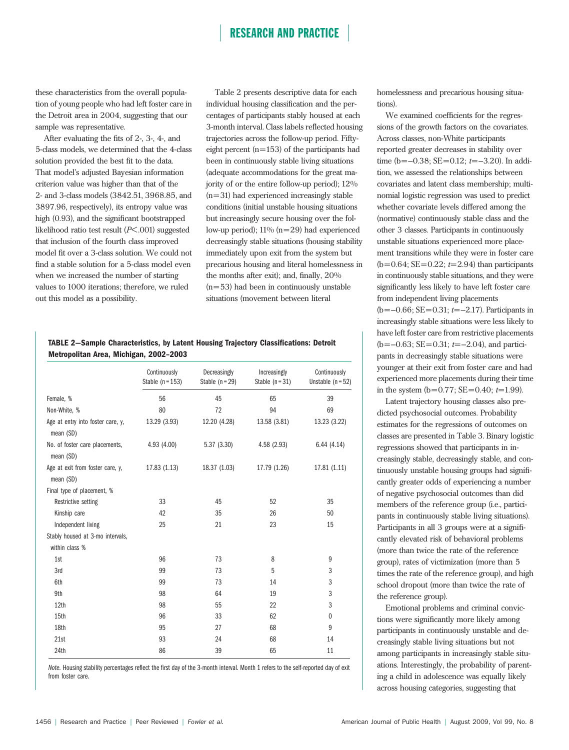these characteristics from the overall population of young people who had left foster care in the Detroit area in 2004, suggesting that our sample was representative.

After evaluating the fits of 2-, 3-, 4-, and 5-class models, we determined that the 4-class solution provided the best fit to the data. That model's adjusted Bayesian information criterion value was higher than that of the 2- and 3-class models (3842.51, 3968.85, and 3897.96, respectively), its entropy value was high (0.93), and the significant bootstrapped likelihood ratio test result (P< .001) suggested that inclusion of the fourth class improved model fit over a 3-class solution. We could not find a stable solution for a 5-class model even when we increased the number of starting values to 1000 iterations; therefore, we ruled out this model as a possibility.

Table 2 presents descriptive data for each individual housing classification and the percentages of participants stably housed at each 3-month interval. Class labels reflected housing trajectories across the follow-up period. Fiftyeight percent  $(n=153)$  of the participants had been in continuously stable living situations (adequate accommodations for the great majority of or the entire follow-up period); 12% (n= 31) had experienced increasingly stable conditions (initial unstable housing situations but increasingly secure housing over the follow-up period);  $11\%$  (n=29) had experienced decreasingly stable situations (housing stability immediately upon exit from the system but precarious housing and literal homelessness in the months after exit); and, finally, 20%  $(n= 53)$  had been in continuously unstable situations (movement between literal

### TABLE 2—Sample Characteristics, by Latent Housing Trajectory Classifications: Detroit Metropolitan Area, Michigan, 2002–2003

|                                                | Continuously<br>Stable $(n = 153)$ | Decreasingly<br>Stable $(n=29)$ | Increasingly<br>Stable $(n=31)$ | Continuously<br>Unstable $(n = 52)$ |
|------------------------------------------------|------------------------------------|---------------------------------|---------------------------------|-------------------------------------|
| Female, %                                      | 56                                 | 45                              | 65                              | 39                                  |
| Non-White, %                                   | 80                                 | 72                              | 94                              | 69                                  |
| Age at entry into foster care, y,<br>mean (SD) | 13.29 (3.93)                       | 12.20 (4.28)                    | 13.58 (3.81)                    | 13.23 (3.22)                        |
| No. of foster care placements,<br>mean (SD)    | 4.93(4.00)                         | 5.37 (3.30)                     | 4.58(2.93)                      | 6.44(4.14)                          |
| Age at exit from foster care, y,<br>mean (SD)  | 17.83 (1.13)                       | 18.37 (1.03)                    | 17.79 (1.26)                    | 17.81(1.11)                         |
| Final type of placement, %                     |                                    |                                 |                                 |                                     |
| Restrictive setting                            | 33                                 | 45                              | 52                              | 35                                  |
| Kinship care                                   | 42                                 | 35                              | 26                              | 50                                  |
| Independent living                             | 25                                 | 21                              | 23                              | 15                                  |
| Stably housed at 3-mo intervals,               |                                    |                                 |                                 |                                     |
| within class %                                 |                                    |                                 |                                 |                                     |
| 1st                                            | 96                                 | 73                              | 8                               | 9                                   |
| 3rd                                            | 99                                 | 73                              | 5                               | 3                                   |
| 6th                                            | 99                                 | 73                              | 14                              | 3                                   |
| 9th                                            | 98                                 | 64                              | 19                              | 3                                   |
| 12th                                           | 98                                 | 55                              | 22                              | 3                                   |
| 15th                                           | 96                                 | 33                              | 62                              | $\mathbf{0}$                        |
| 18th                                           | 95                                 | 27                              | 68                              | 9                                   |
| 21st                                           | 93                                 | 24                              | 68                              | 14                                  |
| 24th                                           | 86                                 | 39                              | 65                              | 11                                  |

Note. Housing stability percentages reflect the first day of the 3-month interval. Month 1 refers to the self-reported day of exit from foster care.

homelessness and precarious housing situations).

We examined coefficients for the regressions of the growth factors on the covariates. Across classes, non-White participants reported greater decreases in stability over time (b= $-0.38$ ; SE= $0.12$ ; t= $-3.20$ ). In addition, we assessed the relationships between covariates and latent class membership; multinomial logistic regression was used to predict whether covariate levels differed among the (normative) continuously stable class and the other 3 classes. Participants in continuously unstable situations experienced more placement transitions while they were in foster care  $(b=0.64; SE=0.22; t=2.94)$  than participants in continuously stable situations, and they were significantly less likely to have left foster care from independent living placements  $(b=-0.66; SE=0.31; t=-2.17)$ . Participants in increasingly stable situations were less likely to have left foster care from restrictive placements  $(b=-0.63; SE=0.31; t=-2.04)$ , and participants in decreasingly stable situations were younger at their exit from foster care and had experienced more placements during their time in the system  $(b= 0.77; SE = 0.40; t=1.99)$ .

Latent trajectory housing classes also predicted psychosocial outcomes. Probability estimates for the regressions of outcomes on classes are presented in Table 3. Binary logistic regressions showed that participants in increasingly stable, decreasingly stable, and continuously unstable housing groups had significantly greater odds of experiencing a number of negative psychosocial outcomes than did members of the reference group (i.e., participants in continuously stable living situations). Participants in all 3 groups were at a significantly elevated risk of behavioral problems (more than twice the rate of the reference group), rates of victimization (more than 5 times the rate of the reference group), and high school dropout (more than twice the rate of the reference group).

Emotional problems and criminal convictions were significantly more likely among participants in continuously unstable and decreasingly stable living situations but not among participants in increasingly stable situations. Interestingly, the probability of parenting a child in adolescence was equally likely across housing categories, suggesting that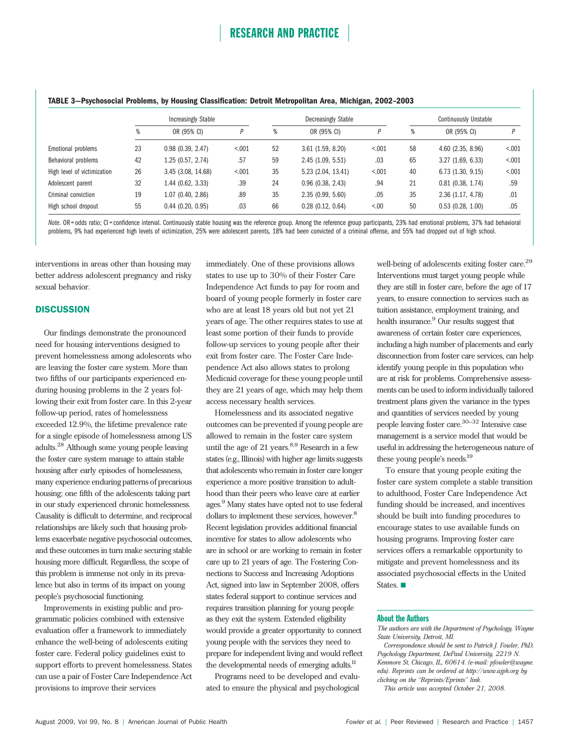### TABLE 3—Psychosocial Problems, by Housing Classification: Detroit Metropolitan Area, Michigan, 2002–2003

|                             | <b>Increasingly Stable</b> |                    |         |    | Decreasingly Stable   |         |    | <b>Continuously Unstable</b> |         |  |
|-----------------------------|----------------------------|--------------------|---------|----|-----------------------|---------|----|------------------------------|---------|--|
|                             | %                          | OR (95% CI)        |         | %  | OR (95% CI)           | D       | %  | OR (95% CI)                  |         |  |
| Emotional problems          | 23                         | 0.98(0.39, 2.47)   | < 0.001 | 52 | 3.61(1.59, 8.20)      | < 0.001 | 58 | $4.60$ $(2.35, 8.96)$        | < 0.001 |  |
| Behavioral problems         | 42                         | 1.25(0.57, 2.74)   | .57     | 59 | 2.45(1.09, 5.51)      | .03     | 65 | 3.27(1.69, 6.33)             | < 0.01  |  |
| High level of victimization | 26                         | 3.45 (3.08, 14.68) | < 0.001 | 35 | 5.23(2.04, 13.41)     | < 0.01  | 40 | 6.73 (1.30, 9.15)            | < 0.001 |  |
| Adolescent parent           | 32                         | 1.44(0.62, 3.33)   | .39     | 24 | $0.96$ $(0.38, 2.43)$ | .94     | 21 | $0.81$ $(0.38, 1.74)$        | .59     |  |
| Criminal conviction         | 19                         | 1.07(0.40, 2.86)   | .89     | 35 | 2.35(0.99, 5.60)      | .05     | 35 | 2.36 (1.17, 4.78)            | .01     |  |
| High school dropout         | 55                         | 0.44(0.20, 0.95)   | .03     | 66 | $0.28$ (0.12, 0.64)   | < 0.00  | 50 | $0.53$ $(0.28, 1.00)$        | .05     |  |

Note. OR = odds ratio; CI = confidence interval. Continuously stable housing was the reference group. Among the reference group participants, 23% had emotional problems, 37% had behavioral problems, 9% had experienced high levels of victimization, 25% were adolescent parents, 18% had been convicted of a criminal offense, and 55% had dropped out of high school.

interventions in areas other than housing may better address adolescent pregnancy and risky sexual behavior.

### **DISCUSSION**

Our findings demonstrate the pronounced need for housing interventions designed to prevent homelessness among adolescents who are leaving the foster care system. More than two fifths of our participants experienced enduring housing problems in the 2 years following their exit from foster care. In this 2-year follow-up period, rates of homelessness exceeded 12.9%, the lifetime prevalence rate for a single episode of homelessness among US adults.<sup>28</sup> Although some young people leaving the foster care system manage to attain stable housing after early episodes of homelessness, many experience enduring patterns of precarious housing; one fifth of the adolescents taking part in our study experienced chronic homelessness. Causality is difficult to determine, and reciprocal relationships are likely such that housing problems exacerbate negative psychosocial outcomes, and these outcomes in turn make securing stable housing more difficult. Regardless, the scope of this problem is immense not only in its prevalence but also in terms of its impact on young people's psychosocial functioning.

Improvements in existing public and programmatic policies combined with extensive evaluation offer a framework to immediately enhance the well-being of adolescents exiting foster care. Federal policy guidelines exist to support efforts to prevent homelessness. States can use a pair of Foster Care Independence Act provisions to improve their services

immediately. One of these provisions allows states to use up to 30% of their Foster Care Independence Act funds to pay for room and board of young people formerly in foster care who are at least 18 years old but not yet 21 years of age. The other requires states to use at least some portion of their funds to provide follow-up services to young people after their exit from foster care. The Foster Care Independence Act also allows states to prolong Medicaid coverage for these young people until they are 21 years of age, which may help them access necessary health services.

Homelessness and its associated negative outcomes can be prevented if young people are allowed to remain in the foster care system until the age of 21 years. $8,9$  Research in a few states (e.g., Illinois) with higher age limits suggests that adolescents who remain in foster care longer experience a more positive transition to adulthood than their peers who leave care at earlier ages.9 Many states have opted not to use federal dollars to implement these services, however.<sup>8</sup> Recent legislation provides additional financial incentive for states to allow adolescents who are in school or are working to remain in foster care up to 21 years of age. The Fostering Connections to Success and Increasing Adoptions Act, signed into law in September 2008, offers states federal support to continue services and requires transition planning for young people as they exit the system. Extended eligibility would provide a greater opportunity to connect young people with the services they need to prepare for independent living and would reflect the developmental needs of emerging adults.<sup>11</sup>

Programs need to be developed and evaluated to ensure the physical and psychological

well-being of adolescents exiting foster care.<sup>29</sup> Interventions must target young people while they are still in foster care, before the age of 17 years, to ensure connection to services such as tuition assistance, employment training, and health insurance.<sup>9</sup> Our results suggest that awareness of certain foster care experiences, including a high number of placements and early disconnection from foster care services, can help identify young people in this population who are at risk for problems. Comprehensive assessments can be used to inform individually tailored treatment plans given the variance in the types and quantities of services needed by young people leaving foster care.30–32 Intensive case management is a service model that would be useful in addressing the heterogeneous nature of these young people's needs.19

To ensure that young people exiting the foster care system complete a stable transition to adulthood, Foster Care Independence Act funding should be increased, and incentives should be built into funding procedures to encourage states to use available funds on housing programs. Improving foster care services offers a remarkable opportunity to mitigate and prevent homelessness and its associated psychosocial effects in the United States.

### About the Authors

The authors are with the Department of Psychology, Wayne State University, Detroit, MI.

Correspondence should be sent to Patrick J. Fowler, PhD, Psychology Department, DePaul University, 2219 N. Kenmore St, Chicago, IL, 60614. (e-mail: pfowler@wayne. edu). Reprints can be ordered at http://www.ajph.org by clicking on the ''Reprints/Eprints'' link.

This article was accepted October 21, 2008.